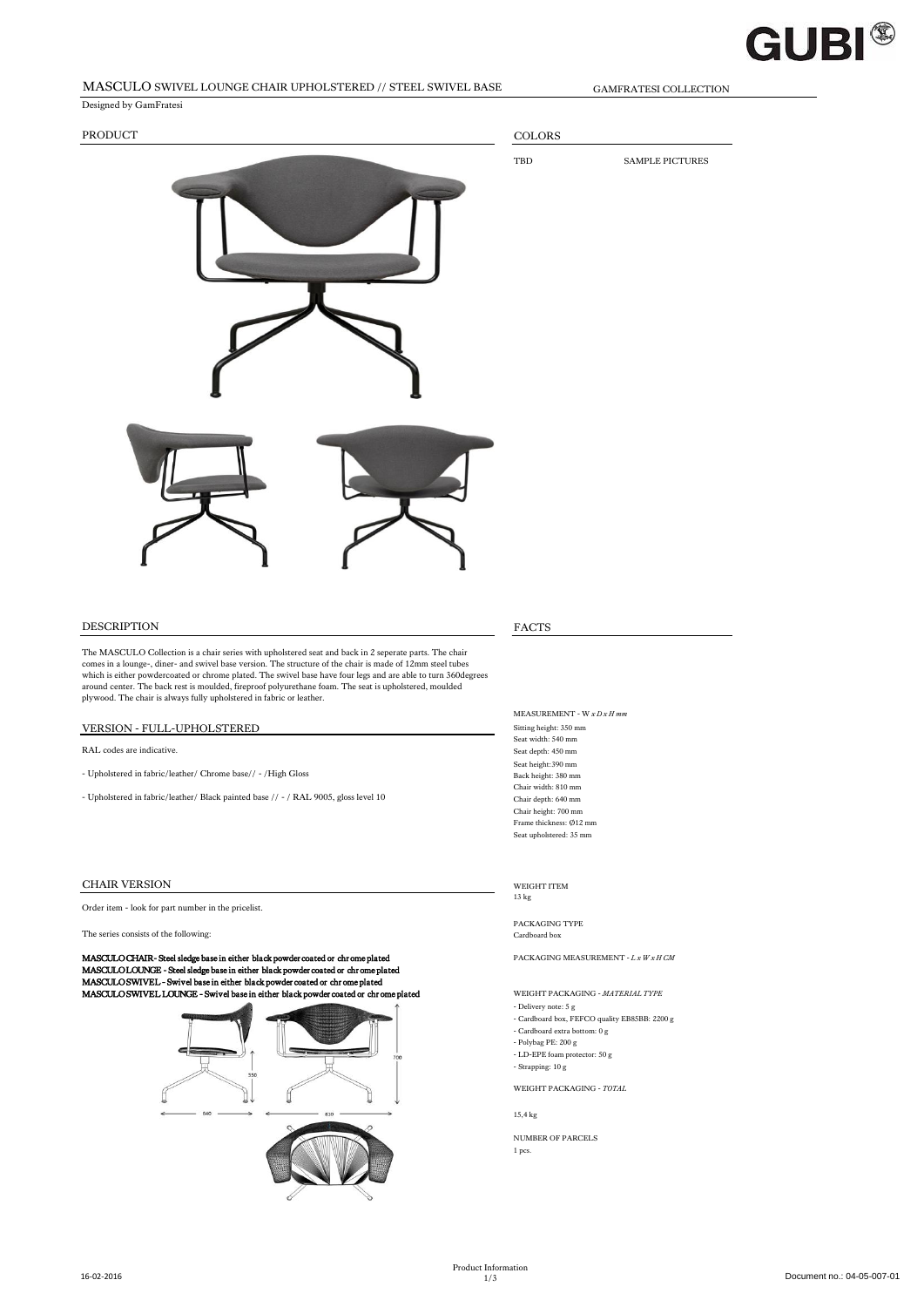### **GUBI®**

### MASCULO SWIVEL LOUNGE CHAIR UPHOLSTERED // STEEL SWIVEL BASE GAMFRATESI COLLECTION

Designed by GamFratesi PRODUCT COLORS TBD SAMPLE PICTURES DESCRIPTION FACTS The MASCULO Collection is a chair series with upholstered seat and back in 2 seperate parts. The chair comes in a lounge-, diner- and swivel base version. The structure of the chair is made of 12mm steel tubes which is either powdercoated or chrome plated. The swivel base have four legs and are able to turn 360degrees<br>around center. The back rest is moulded, fireproof polyurethane foam. The seat is upholstered, moulded<br>plywood. MEASUREMENT - W *x D x H mm* VERSION - FULL-UPHOLSTERED Sitting height: 350 mm

RAL codes are indicative. Seat depth: 450 mm

- Upholstered in fabric/leather/ Chrome base// - /High Gloss

- Upholstered in fabric/leather/ Black painted base // - / RAL 9005, gloss level 10 Chair depth: 640 mm

#### CHAIR VERSION WEIGHT ITEM

Order item - look for part number in the pricelist.

#### The series consists of the following: Cardboard box Cardboard box

**MASCULO CHAIR- Steel sledge base in either black powder coated or chrome plated**<br>**MASCULO LOUNCE - Steel sledge base in either black powder coated or chrome plated**<br>MASCULO SWIVEL - Swivel base in either black powder coat MASCULO SWIVEL LOUNGE - Swivel base in either black powder coated or chr ome plated WEIGHT PACKAGING - *MATERIAL TYPE*



Seat width: 540 mm Seat height:390 mm Chair width: 810 mm Chair height: 700 mm Frame thickness: Ø12 mm Seat upholstered: 35 mm

13 kg

PACKAGING TYPE

- Delivery note: 5 g
- Cardboard box, FEFCO quality EB85BB: 2200 g - Cardboard extra bottom: 0 g
- Polybag PE: 200 g
- LD-EPE foam protector: 50 g
- Strapping: 10 g

#### WEIGHT PACKAGING - *TOTAL*

15,4 kg

NUMBER OF PARCELS 1 pcs.

16-02-2016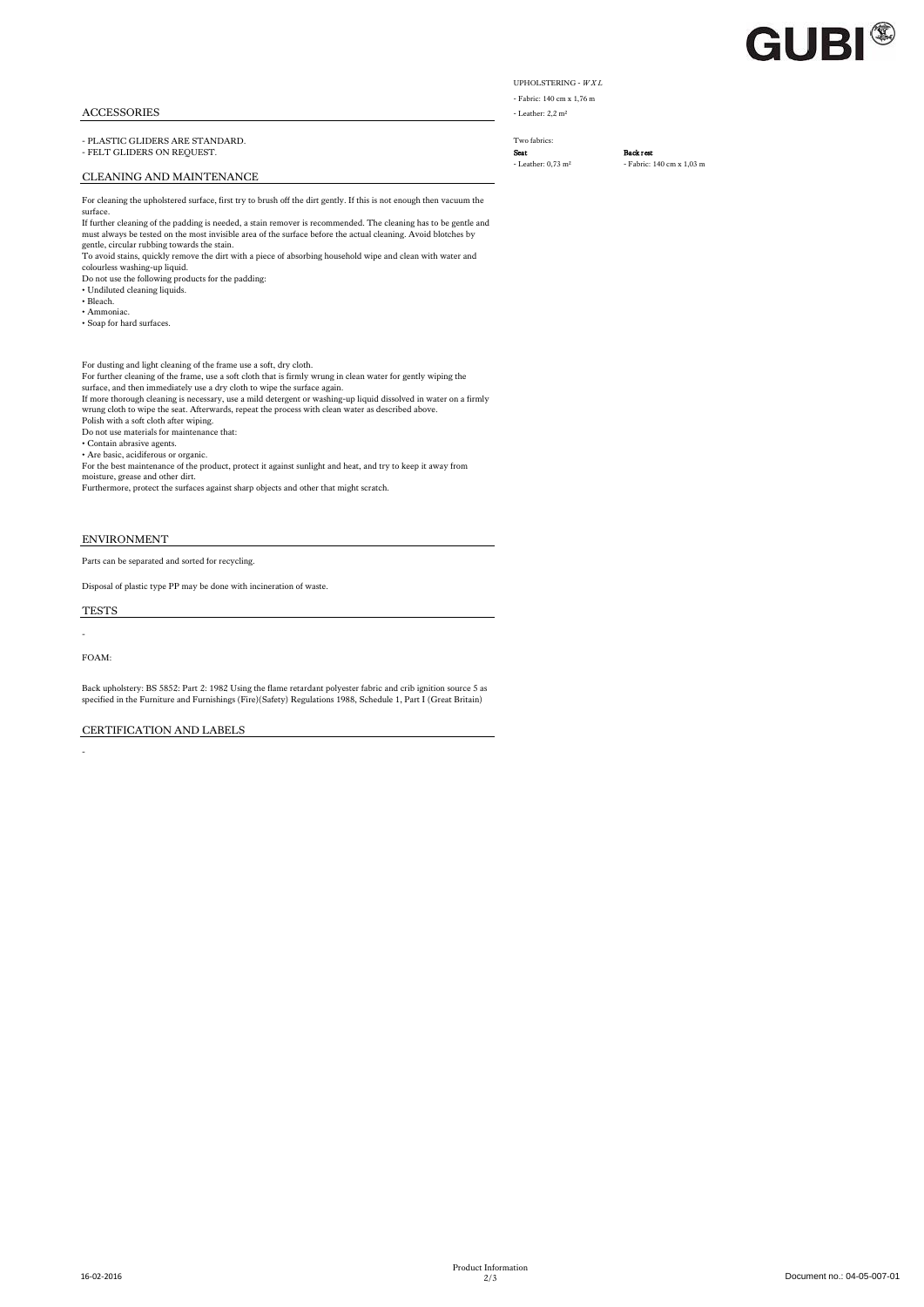## **GUBI®**

#### ACCESSORIES - Leather: 2,2 m<sup>3</sup>

- PLASTIC GLIDERS ARE STANDARD. Two fabrics: - FELT GLIDERS ON REQUEST.<br> **-** Leather: 0.73 m<sup>2</sup> - Fabric:

#### CLEANING AND MAINTENANCE

For cleaning the upholstered surface, first try to brush off the dirt gently. If this is not enough then vacuum the surface.

If further cleaning of the padding is needed, a stain remover is recommended. The cleaning has to be gentle and must always be tested on the most invisible area of the surface before the actual cleaning. Avoid blotches by gentle, circular rubbing towards the stain.

To avoid stains, quickly remove the dirt with a piece of absorbing household wipe and clean with water and colourless washing-up liquid. Do not use the following products for the padding:

- Undiluted cleaning liquids. • Bleach.
- Ammoniac.
- Soap for hard surfaces.

#### For dusting and light cleaning of the frame use a soft, dry cloth.

For further cleaning of the frame, use a soft cloth that is firmly wrung in clean water for gently wiping the<br>surface, and then immediately use a dry cloth to wipe the surface again.<br>If more thorough cleaning is necessary,

Polish with a soft cloth after wiping. Do not use materials for maintenance that:

• Contain abrasive agents. • Are basic, acidiferous or organic.

For the best maintenance of the product, protect it against sunlight and heat, and try to keep it away from moisture, grease and other dirt. Furthermore, protect the surfaces against sharp objects and other that might scratch.

#### ENVIRONMENT

Parts can be separated and sorted for recycling.

Disposal of plastic type PP may be done with incineration of waste.

TESTS

FOAM:

-

-

Back upholstery: BS 5852: Part 2: 1982 Using the flame retardant polyester fabric and crib ignition source 5 as specified in the Furniture and Furnishings (Fire)(Safety) Regulations 1988, Schedule 1, Part I (Great Britain)

#### CERTIFICATION AND LABELS

UPHOLSTERING - *W X L* - Fabric: 140 cm x 1,76 m

- Fabric: 140 cm x 1,03 m